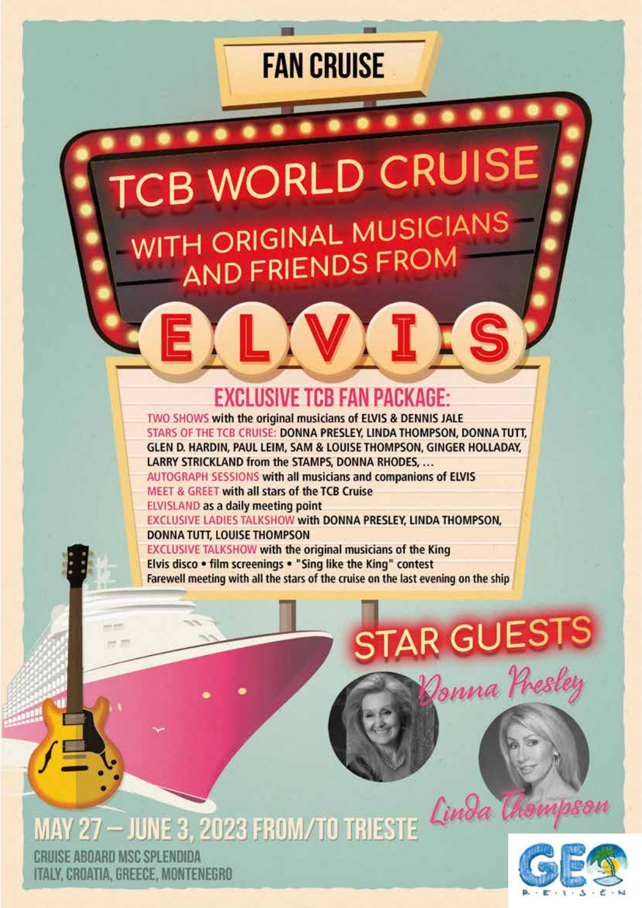### **FAN CRUISE**

**CB WORLD CRUISE** WITH ORIGINAL MUSICIANS<br>AND FRIENDS FROM

### **EXCLUSIVE TCB FAN PACKAGE:**

TWO SHOWS with the original musicians of ELVIS & DENNIS JALE STARS OF THE TCB CRUISE: DONNA PRESLEY, LINDA THOMPSON, DONNA TUTT, GLEN D. HARDIN, PAUL LEIM, SAM & LOUISE THOMPSON, GINGER HOLLADAY, LARRY STRICKLAND from the STAMPS, DONNA RHODES, ...

AUTOGRAPH SESSIONS with all musicians and companions of ELVIS **MEET & GREET with all stars of the TCB Cruise** 

ELVISLAND as a daily meeting point

EXCLUSIVE LADIES TALKSHOW with DONNA PRESLEY, LINDA THOMPSON, **DONNA TUTT, LOUISE THOMPSON** 

**EXCLUSIVE TALKSHOW with the original musicians of the King** Elvis disco . film screenings . "Sing like the King" contest Farewell meeting with all the stars of the cruise on the last evening on the ship

## **STAR GUESTS** Jonna Presley

MAY 27 - JUNE 3, 2023 FROM/TO TRIESTE Cinda

CRUISE ABOARD MSC SPLENDIDA ITALY, CROATIA, GREECE, MONTENEGRO

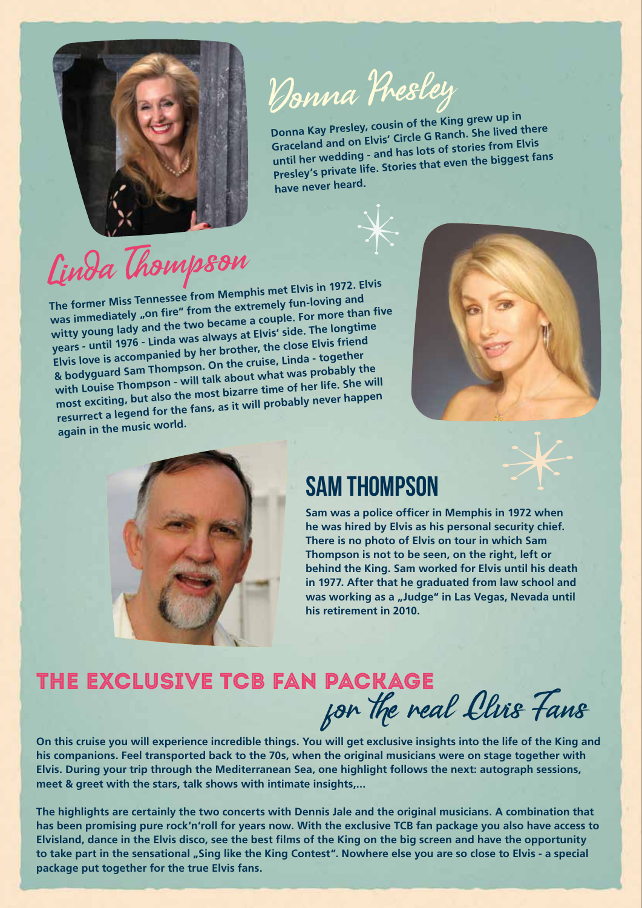

# Donna Presley

**Donna Kay Presley, cousin of the King grew up in Graceland and on Elvis' Circle G Ranch. She lived there until her wedding - and has lots of stories from Elvis Presley's private life. Stories that even the biggest fans have never heard.**

# Linda Thompson

**The former Miss Tennessee from Memphis met Elvis in 1972. Elvis**  was immediately "on fire" from the extremely fun-loving and **witty young lady and the two became a couple. For more than five years - until 1976 - Linda was always at Elvis' side. The longtime Elvis love is accompanied by her brother, the close Elvis frien<sup>d</sup> & bodyguard Sam Thompson. On the cruise, Linda - together with Louise Thompson - will talk about what was probably the most exciting, but also the most bizarre time of her life. She will resurrect a legend for the fans, as it will probably never happen again in the music world.**





### Sam Thompson

**Sam was a police officer in Memphis in 1972 when he was hired by Elvis as his personal security chief. There is no photo of Elvis on tour in which Sam Thompson is not to be seen, on the right, left or behind the King. Sam worked for Elvis until his death in 1977. After that he graduated from law school and**  was working as a "Judge" in Las Vegas, Nevada until **his retirement in 2010.**

### The exclusive TCB fan packagefor the real Cluis Fans

**On this cruise you will experience incredible things. You will get exclusive insights into the life of the King and his companions. Feel transported back to the 70s, when the original musicians were on stage together with Elvis. During your trip through the Mediterranean Sea, one highlight follows the next: autograph sessions, meet & greet with the stars, talk shows with intimate insights,...**

**The highlights are certainly the two concerts with Dennis Jale and the original musicians. A combination that has been promising pure rock'n'roll for years now. With the exclusive TCB fan package you also have access to Elvisland, dance in the Elvis disco, see the best films of the King on the big screen and have the opportunity**  to take part in the sensational "Sing like the King Contest". Nowhere else you are so close to Elvis - a special **package put together for the true Elvis fans.**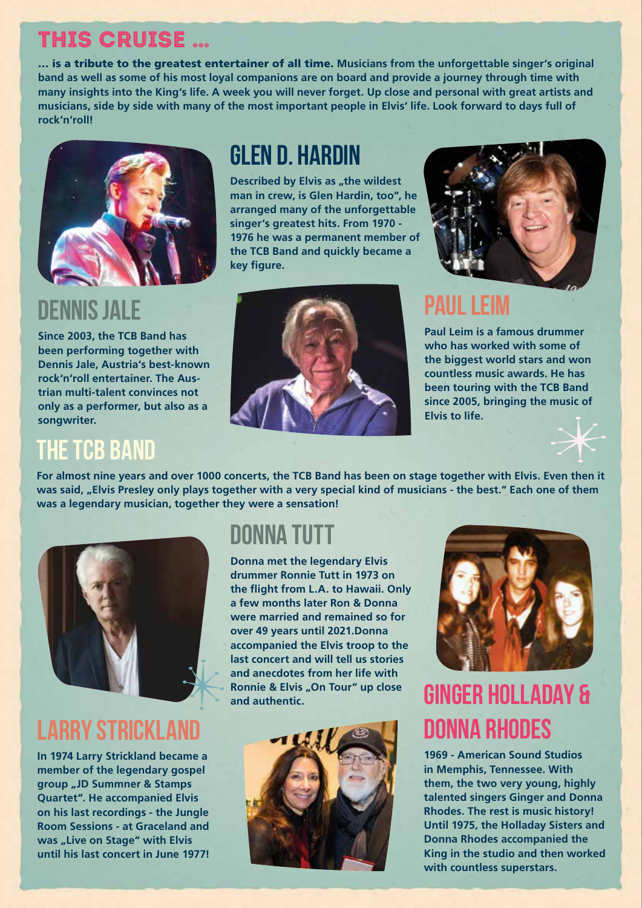### This cruise …

… is a tribute to the greatest entertainer of all time. **Musicians from the unforgettable singer's original band as well as some of his most loyal companions are on board and provide a journey through time with many insights into the King's life. A week you will never forget. Up close and personal with great artists and musicians, side by side with many of the most important people in Elvis' life. Look forward to days full of rock'n'roll!** 



### Dennis Jale

**Since 2003, the TCB Band has been performing together with Dennis Jale, Austria's best-known rock'n'roll entertainer. The Austrian multi-talent convinces not only as a performer, but also as a songwriter.** 

### **THE TCB BAND**

### Glen D. Hardin

**Described by Elvis as "the wildest man in crew, is Glen Hardin, too", he arranged many of the unforgettable singer's greatest hits. From 1970 - 1976 he was a permanent member of the TCB Band and quickly became a key figure.** 





### Paul Leim

**Paul Leim is a famous drummer who has worked with some of the biggest world stars and won countless music awards. He has been touring with the TCB Band since 2005, bringing the music of Elvis to life.**



**For almost nine years and over 1000 concerts, the TCB Band has been on stage together with Elvis. Even then it**  was said, "Elvis Presley only plays together with a very special kind of musicians - the best." Each one of them **was a legendary musician, together they were a sensation!** 



### Larry Strickland

**In 1974 Larry Strickland became a member of the legendary gospel group "JD Summner & Stamps Quartet". He accompanied Elvis on his last recordings - the Jungle Room Sessions - at Graceland and**  was "Live on Stage" with Elvis **until his last concert in June 1977!**

### DONNA TUTT

**Donna met the legendary Elvis drummer Ronnie Tutt in 1973 on the flight from L.A. to Hawaii. Only a few months later Ron & Donna were married and remained so for over 49 years until 2021.Donna accompanied the Elvis troop to the last concert and will tell us stories and anecdotes from her life with Ronnie & Elvis "On Tour" up close and authentic.**





### Ginger Holladay & Donna Rhodes

**1969 - American Sound Studios in Memphis, Tennessee. With them, the two very young, highly talented singers Ginger and Donna Rhodes. The rest is music history! Until 1975, the Holladay Sisters and Donna Rhodes accompanied the King in the studio and then worked with countless superstars.**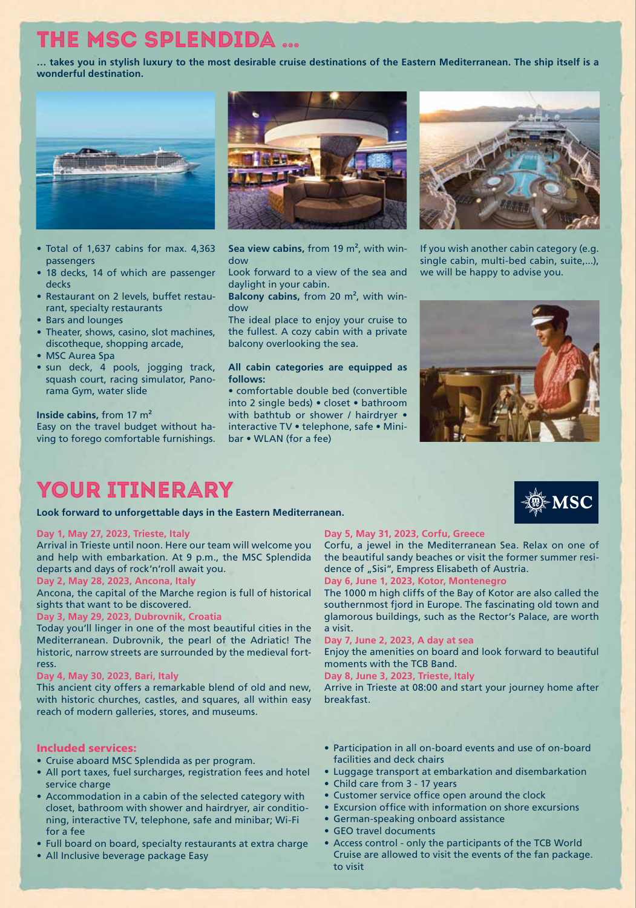### The MSC Splendida …

**… takes you in stylish luxury to the most desirable cruise destinations of the Eastern Mediterranean. The ship itself is a wonderful destination.**



- Total of 1,637 cabins for max. 4,363 passengers
- 18 decks, 14 of which are passenger decks
- Restaurant on 2 levels, buffet restaurant, specialty restaurants
- Bars and lounges
- Theater, shows, casino, slot machines, discotheque, shopping arcade,
- MSC Aurea Spa
- sun deck, 4 pools, jogging track, squash court, racing simulator, Panorama Gym, water slide

#### **Inside cabins,** from 17 m²

Easy on the travel budget without having to forego comfortable furnishings.



**Sea view cabins,** from 19 m², with window

Look forward to a view of the sea and daylight in your cabin.

**Balcony cabins,** from 20 m², with window

The ideal place to enjoy your cruise to the fullest. A cozy cabin with a private balcony overlooking the sea.

#### **All cabin categories are equipped as follows:**

• comfortable double bed (convertible into 2 single beds) • closet • bathroom with bathtub or shower / hairdryer • interactive TV • telephone, safe • Minibar • WLAN (for a fee)



If you wish another cabin category (e.g. single cabin, multi-bed cabin, suite,...), we will be happy to advise you.



### YOUR ITINERARY

**Look forward to unforgettable days in the Eastern Mediterranean.**

#### **Day 1, May 27, 2023, Trieste, Italy**

Arrival in Trieste until noon. Here our team will welcome you and help with embarkation. At 9 p.m., the MSC Splendida departs and days of rock'n'roll await you.

#### **Day 2, May 28, 2023, Ancona, Italy**

Ancona, the capital of the Marche region is full of historical sights that want to be discovered.

#### **Day 3, May 29, 2023, Dubrovnik, Croatia**

Today you'll linger in one of the most beautiful cities in the Mediterranean. Dubrovnik, the pearl of the Adriatic! The historic, narrow streets are surrounded by the medieval fortress.

#### **Day 4, May 30, 2023, Bari, Italy**

This ancient city offers a remarkable blend of old and new, with historic churches, castles, and squares, all within easy reach of modern galleries, stores, and museums.

#### Included services:

- Cruise aboard MSC Splendida as per program.
- All port taxes, fuel surcharges, registration fees and hotel service charge
- Accommodation in a cabin of the selected category with closet, bathroom with shower and hairdryer, air conditioning, interactive TV, telephone, safe and minibar; Wi-Fi for a fee
- Full board on board, specialty restaurants at extra charge
- All Inclusive beverage package Easy

#### **Day 5, May 31, 2023, Corfu, Greece**

Corfu, a jewel in the Mediterranean Sea. Relax on one of the beautiful sandy beaches or visit the former summer residence of "Sisi", Empress Elisabeth of Austria.

#### **Day 6, June 1, 2023, Kotor, Montenegro**

The 1000 m high cliffs of the Bay of Kotor are also called the southernmost fjord in Europe. The fascinating old town and glamorous buildings, such as the Rector's Palace, are worth a visit.

**Day 7, June 2, 2023, A day at sea** 

Enjoy the amenities on board and look forward to beautiful moments with the TCB Band.

**Day 8, June 3, 2023, Trieste, Italy** 

Arrive in Trieste at 08:00 and start your journey home after **breakfast** 

- Participation in all on-board events and use of on-board facilities and deck chairs
- Luggage transport at embarkation and disembarkation
- Child care from 3 17 years
- Customer service office open around the clock
- Excursion office with information on shore excursions
- German-speaking onboard assistance
- GEO travel documents
- Access control only the participants of the TCB World Cruise are allowed to visit the events of the fan package. to visit

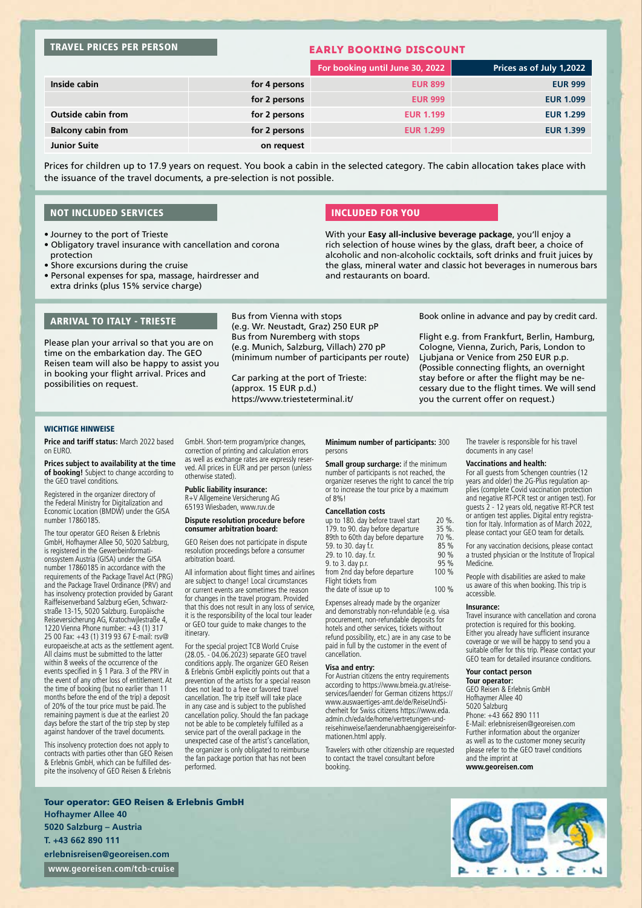#### TRAVEL PRICES PER PERSON

#### EARLY BOOKING DISCOUNT

|                           |               | For booking until June 30, 2022 | Prices as of July 1,2022 |
|---------------------------|---------------|---------------------------------|--------------------------|
| Inside cabin              | for 4 persons | <b>EUR 899</b>                  | <b>EUR 999</b>           |
|                           | for 2 persons | <b>EUR 999</b>                  | <b>EUR 1.099</b>         |
| <b>Outside cabin from</b> | for 2 persons | <b>EUR 1.199</b>                | <b>EUR 1.299</b>         |
| <b>Balcony cabin from</b> | for 2 persons | <b>EUR 1.299</b>                | <b>EUR 1.399</b>         |
| <b>Junior Suite</b>       | on request    |                                 |                          |

Prices for children up to 17.9 years on request. You book a cabin in the selected category. The cabin allocation takes place with the issuance of the travel documents, a pre-selection is not possible.

#### NOT INCLUDED SERVICES

- Journey to the port of Trieste
- Obligatory travel insurance with cancellation and corona protection
- Shore excursions during the cruise
- Personal expenses for spa, massage, hairdresser and extra drinks (plus 15% service charge)

#### INCLUDED FOR YOU

With your **Easy all-inclusive beverage package**, you'll enjoy a rich selection of house wines by the glass, draft beer, a choice of alcoholic and non-alcoholic cocktails, soft drinks and fruit juices by the glass, mineral water and classic hot beverages in numerous bars and restaurants on board.

#### ARRIVAL TO ITALY - TRIESTE

Please plan your arrival so that you are on time on the embarkation day. The GEO Reisen team will also be happy to assist you in booking your flight arrival. Prices and possibilities on request.

Bus from Vienna with stops (e.g. Wr. Neustadt, Graz) 250 EUR pP Bus from Nuremberg with stops (e.g. Munich, Salzburg, Villach) 270 pP (minimum number of participants per route)

Car parking at the port of Trieste: (approx. 15 EUR p.d.) https://www.triesteterminal.it/

WICHTIGE HINWEISE

**Price and tariff status:** March 2022 based on EURO.

**Prices subject to availability at the time of booking!** Subject to change according to the GEO travel conditions.

Registered in the organizer directory of the Federal Ministry for Digitalization and Economic Location (BMDW) under the GISA number 17860185.

The tour operator GEO Reisen & Erlebnis GmbH, Hofhaymer Allee 50, 5020 Salzburg, is registered in the Gewerbeinformationssystem Austria (GISA) under the GISA number 17860185 in accordance with the requirements of the Package Travel Act (PRG) and the Package Travel Ordinance (PRV) and has insolvency protection provided by Garant Raiffeisenverband Salzburg eGen, Schwarzstraße 13-15, 5020 Salzburg. Europäische Reiseversicherung AG, Kratochwjlestraße 4, 1220 Vienna Phone number: +43 (1) 317 25 00 Fax: +43 (1) 319 93 67 E-mail: rsv@ europaeische.at acts as the settlement agent. All claims must be submitted to the latter within 8 weeks of the occurrence of the events specified in § 1 Para. 3 of the PRV in the event of any other loss of entitlement. At the time of booking (but no earlier than 11 months before the end of the trip) a deposit of 20% of the tour price must be paid. The remaining payment is due at the earliest 20 days before the start of the trip step by step against handover of the travel documents.

This insolvency protection does not apply to contracts with parties other than GEO Reisen & Erlebnis GmbH, which can be fulfilled despite the insolvency of GEO Reisen & Erlebnis

GmbH. Short-term program/price changes, correction of printing and calculation errors as well as exchange rates are expressly reserved. All prices in EUR and per person (unless otherwise stated).

#### **Public liability insurance:**

R+V Allgemeine Versicherung AG 65193 Wiesbaden, www.ruv.de

#### **Dispute resolution procedure before consumer arbitration board:**

GEO Reisen does not participate in dispute resolution proceedings before a consumer arbitration board.

All information about flight times and airlines are subject to change! Local circumstances or current events are sometimes the reason for changes in the travel program. Provided that this does not result in any loss of service, it is the responsibility of the local tour leader or GEO tour guide to make changes to the itinerary.

For the special project TCB World Cruise (28.05. - 04.06.2023) separate GEO travel conditions apply. The organizer GEO Reisen & Erlebnis GmbH explicitly points out that a prevention of the artists for a special reason does not lead to a free or favored travel cancellation. The trip itself will take place in any case and is subject to the published cancellation policy. Should the fan package not be able to be completely fulfilled as a service part of the overall package in the unexpected case of the artist's cancellation, the organizer is only obligated to reimburse the fan package portion that has not been performed.

**Minimum number of participants:** 300 persons

**Small group surcharge:** if the minimum number of participants is not reached, the organizer reserves the right to cancel the trip or to increase the tour price by a maximum of 8% !

#### **Cancellation costs**

| up to 180. day before travel start | 20 %. |
|------------------------------------|-------|
| 179. to 90. day before departure   | 35 %. |
| 89th to 60th day before departure  | 70 %. |
| 59. to 30. day f.r.                | 85 %  |
| 29. to 10. day. f.r.               | 90 %  |
| 9. to 3. day p.r.                  | 95 %  |
| from 2nd day before departure      | 100 % |
| Flight tickets from                |       |
| the date of issue up to            | 100 % |

Expenses already made by the organizer and demonstrably non-refundable (e.g. visa procurement, non-refundable deposits for hotels and other services, tickets without refund possibility, etc.) are in any case to be paid in full by the customer in the event of cancellation.

#### **Visa and entry:**

For Austrian citizens the entry requirements according to https://www.bmeia.gv.at/reiseservices/laender/ for German citizens https:// www.auswaertiges-amt.de/de/ReiseUndSicherheit for Swiss citizens https://www.eda. admin.ch/eda/de/home/vertretungen-undreisehinweise/laenderunabhaengigereiseinformationen.html apply.

Travelers with other citizenship are requested to contact the travel consultant before booking.

The traveler is responsible for his travel documents in any case!

#### **Vaccinations and health:**

you the current offer on request.)

Book online in advance and pay by credit card. Flight e.g. from Frankfurt, Berlin, Hamburg, Cologne, Vienna, Zurich, Paris, London to Ljubjana or Venice from 250 EUR p.p. (Possible connecting flights, an overnight stay before or after the flight may be necessary due to the flight times. We will send

> For all guests from Schengen countries (12 years and older) the 2G-Plus regulation applies (complete Covid vaccination protection and negative RT-PCR test or antigen test). For guests 2 - 12 years old, negative RT-PCR test or antigen test applies. Digital entry registration for Italy. Information as of March 2022, please contact your GEO team for details.

For any vaccination decisions, please contact a trusted physician or the Institute of Tropical **Medicine** 

People with disabilities are asked to make us aware of this when booking. This trip is accessible.

#### **Insurance:**

Travel insurance with cancellation and corona protection is required for this booking. Either you already have sufficient insurance coverage or we will be happy to send you a suitable offer for this trip. Please contact your GEO team for detailed insurance conditions.

#### **Your contact person**

**Tour operator:** GEO Reisen & Erlebnis GmbH Hofhaymer Allee 40 5020 Salzburg Phone: +43 662 890 111 E-Mail: erlebnisreisen@georeisen.com Further information about the organizer as well as to the customer money security please refer to the GEO travel conditions and the imprint at

**www.georeisen.com**

Tour operator: GEO Reisen & Erlebnis GmbH **Hofhaymer Allee 40 5020 Salzburg – Austria T. +43 662 890 111 erlebnisreisen@georeisen.com www.georeisen.com/tcb-cruise**